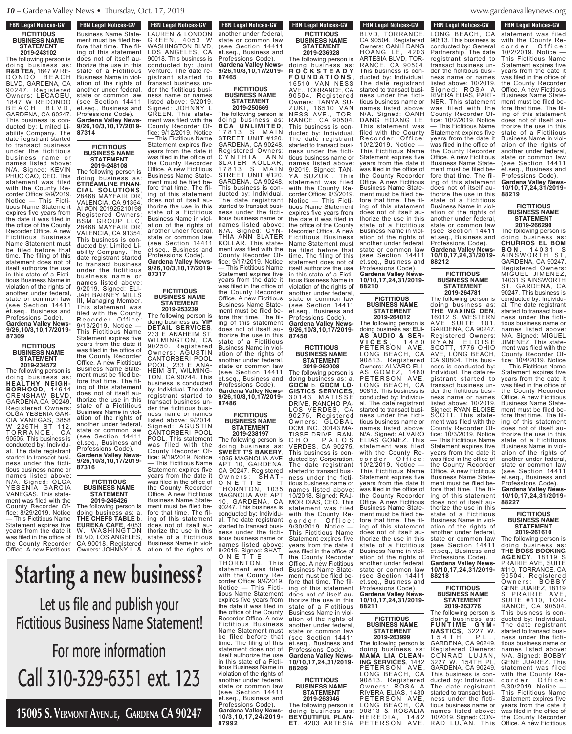### **FBN Legal Notices-GV FICTITIOUS BUSINESS NAME STATEMENT**

**2019-243102** The following person is doing business as: **R&B TEA**, 1847 W RE-D O N D O B E A C H BLVD, GARDENA, CA 90247. Registered BEVB, ONNBENY, ON<br>90247. Registered<br>Owners: LECAOEU, 1847 W REDONDO B E A C H B L V D , GARDENA, CA 90247. This business is conducted by: Limited Liability Company. The date registrant started to transact business under the fictitious bus ines s name or names listed above: N/A. Signed: KEVIN PHUC CAO, CEO. statement was filed with the County Recorder Office: 9/9/2019. Notice — This Fictitious Name Statement expires five years from the date it was filed in the office of the County Recorder Office. A new Fictitious Business Name Statement must be filed before that time. The filing of this statement does not of itself authorize the use in this state of a Fictitious Business Name in violation of the rights of another under federal, state or common law (see Section 14411 et.seq., Business and Professions Code). **Gardena Valley News-9/26,10/3,10,17/2019- 87309**

> **FICTITIOUS BUSINESS NAME STATEMENT 2019-234572**

The following person is doing business as: **HEALTHY NEIGH-BORHOOD**, 14614 CRENSHAW BLVD, GARDENA,CA 90249. Registered Owners: OLGA YESENIA GAR-CIA VANEGAS, 3858 W 226TH ST 112, T O R R A N C E , 90505. This business is conducted by: Individual. The date registrant started to transact business under the fictitious business name or names listed above: N/A. Signed: OLGA YESENIA GARCIA VANEGAS. This statement was filed with the County Recorder Office: 8/29/2019. Notice — This Fictitious Name Statement expires five years from the date it was filed in the office of the County Recorder Office. A new Fictitious

der the fictitious business name or names listed above: 9/2019. **FBN Legal Notices-GV FIGURE FIGURES** FIGURES Business Name Statement must be filed before that time. The filing of this statement does not of itself authorize the use in this state of a Fictitious Business Name in violation of the rights of another under federal, state or common law (see Section 14411 et.seq., Business and Professions Code). **Gardena Valley News-9/26,10/3,10,17/2019- 87314**

transact business un-

Signed: JOHNNY L GREEN. This statement was filed with the County Recorder Office: 9/12/2019. Notice — This Fictitious Name Statement expires five years from the date it was filed in the office of

> **FICTITIOUS BUSINESS NAME STATEMENT 2019-253239**

égistrant started to

CANTORBERI POOL POOL. This statement was filed with the County Recorder Office: 9/19/2019. Notice — This Fictitious Name Statement expires five years from the date it was filed in the office of the County Recorder Office. A new Fictitious Business Name Statement must be filed before that time. The filing of this statement does not of itself authorize the use in this state of a Fictitious Business Name in viol-ation of the rights of

#### **FICTITIOUS BUSINESS NAME STATEMENT 2019-248108**

the County Recorder Office. A new Fictitious Business Name Statement must be filed before that time. The filing of this statement does not of itself authorize the use in this state of a Fictitious Business Name in violation of the rights of another under federal, state or common law (see Section 14411 et.seq., Business and Professions Code). **Gardena Valley News-9/26,10/3,10,17/2019- 87317** The following person doing business as: **VIP DETAIL SERVICES**, 233 E ANAHEIM ST, WILMINGTON, CA 90250. Registered Owners: AGUSTIN CANTORBERI POOL POOL, 233 E ANA-HEIM ST, WILMING-TON, CA 90744. This business is conducted by: Individual. The date transact business under the fictitious business name or names listed above: 9/2014. Signed: AGUSTIN<br>CANTORBERI POOL The following person is<br>doing business as: doing business as: **STREAMLINE FINAN-CIAL SOLUTIONS**, 28468 MAYFAIR DR, VALENCIA, CA 91354. AI #ON 201925210198 Registered Owners: BSM GROUP LLC, 28468 MAYFAIR DR, VALENCIA, CA 91354. This business is conducted by: Limited Liability Company. The date registrant started to transact business under the fictitious business name or names listed above: 9/2019. Signed: ELI-JAH BARNEY MILLS III, Managing Member. This statement was filed with the County<br>Recorder Office: Recorder Office: 9/13/2019. Notice — This Fictitious Name Statement expires five years from the date it was filed in the office of the County Recorder Office. A new Fictitious Business Name Statement must be filed be-<br>fore that time. The filfore that time. ing of this statement does not of itself authorize the use in this state of a Fictitious Business Name in violation of the rights of

another under federal, state or common law (see Section 14411 et.seq., Business and Professions Code). **Gardena Valley News-9/26,10/3,10,17/2019- 87316**

**FICTITIOUS BUSINESS NAME STATEMENT 2019-246426** The following person is

doing business as: a. **THE CHEFS TABLE** b. **EUREKA CAFE**, 4053 W. WASHINGTON BLVD, LOS ANGELES, CA 90018. Registered Owners: JOHNNY L. &

#### state or common law  $\sim$   $\sim$   $\sim$   $\sim$   $\sim$   $\sim$   $\sim$   $\sim$ ieinaeec Professions Code). **Gardena Valley News-**G R E E N , 4 0 5 3 W WASHINGTON BLVD, BLVD, BLVD, BLVD, BLVD, BLVD, BLVD, BLVD, BLVD, BLVD, BLVD, BLVD, BLVD, BLVD, BLVD, BLVD, BLVD, BLVD, BLVD, BLVD, BLVD, BLVD, BLVD, BLVD, BLVD, BLVD, BLVD, BLVD, BLVD, BLVD, BLVD, BLVD, BLVD, BLVD, BLVD, B LO DE LA DI a new p ment must be filed be $f_{\rm max}$  for  $f_{\rm max}$ ing of the thing of the thing of the thing the thing the state is a statement of the thing the state in the th dous uniq **Starting a new business?**

**87465** Venture. The date re- $\mathbb{Z}$ la and started to tre and bubli der the fact the field of the field of the field of the field of the set of the set of the set of the set of the set of the set of the set of the set of the set of the set of the set of the set of the set of the set of the ness names names or names or names or names or names of the trace of the trace of the trace of the trace of th lsiness Name Silippo Termi Business Name in violation of the rights of the rights of the rights of the rights of the rights of the rights of the rights of the Let us file and publish your  $\Gamma$ state or common la – FICTITIOUS B **Fictitious Business Name Statement!** 

ment with the state of the state of the state of the state of the state of the state of the state of the state nore intorm:  $\boldsymbol{\mathsf{HUE}}$  introlling  $S_{\rm{eff}}$  $700C$  $\cdot$  174-1057 in the orientation in the office of  $\cdot$ the County Recorder Call 310-329-6351 ext. 123 **Gardena Valley News-For more information** 

fore that time. The filing of this statement **15005 S. Vermont Avenue, Gardena CA 90247**

thorize the use in this

Business Name State-

**FBN Legal Notices-GV** rbn Leyal Nulles-GV another under federal, state or common law (see Section 14411 et.seq., Business and Professions Code). **Gardena Valley News-9/26,10/3,10,17/2019- 87465 FBN Legal Notices-GV TEN LEYAL NULLES-UV** LAUREN & LONDON<br>GREEN. 4053 W G R E E N , 4 0 5 3 W WASHINGTON BLVD, LOS ANGELES, CA 90018. This business is conducted by: Joint Venture. The date registrant started to

> **FICTITIOUS BUSINESS NAME STATEMENT 2019-250669** The following person is

doing business as: **B C A U N L I M I TE D** , 17813 S MAIN STREET UNIT #120, GARDENA, CA 90248. Registered Owners:<br>CYNTHIA ANN C Y N T H I A A N N SLATER KOLLAR, 17813 S MAIN STREET UNIT #120, GARDENA, CA 90248. This business is conducted by: Individual. The date registrant started to transact business under the fictitious business name or names listed above: N/A. Signed: CYN-THIA ANN SLATER KOLLAR. This statement was filed with the County Recorder Office: 9/17/2019. Notice — This Fictitious Name Statement expires five years from the date it was filed in the office of the County Recorder Office. A new Fictitious Business Name Statement must be filed before that time. The filing of this statement does not of itself authorize the use in this state of a Fictitious Business Name in violation of the rights of another under federal, state or common law (see Section 14411 et.seq., Business and Professions Code).

**Gardena Valley News-9/26,10/3,10,17/2019- 87486**

#### **FICTITIOUS BUSINESS NAME STATEMENT 2019-238197**

The following person is doing business as: **SWEET T'S BAKERY**, 1035 MAGNOLIA AVE APT 10, GARDENA, CA 90247. Registered Owners: SHAT-ON E T T E T THORNTON, 1035 MAGNOLIA AVE APT 10, GARDENA, CA 90247. This business is conducted by: Individual. The date registrant started to transact business under the fictitious business name or names listed above: 8/2019. Signed: SHAT-ON E T T E T THORNTON. This statement was filed with the County Recorder Office: 9/4/2019. Notice — This Fictitious Name Statement expires five years from the date it was filed in the office of the County Recorder Office. A new Fictitious Business Name Statement must be filed before that time. The filing of this statement does not of itself authorize the use in this state of a Fictitious Business Name in violation of the rights of another under federal, state or common law (see Section 14411 et.seq., Business and Professions Code). **Gardena Valley News-**

**87992**

**10/3,10,17,24/2019-**

**FBN Legal Notices-GV FICTITIOUS BUSINESS NAME STATEMENT 2019-236928**

Professions Code). **Gardena Valley News-10/10,17,24,31/2019- 88210 BUSINESS NAME** The following person is doing business as: **R O C K S T E A D Y F O U N D A T I O N S** , 16510 VAN NESS AVE., TORRANCE, CA 90504. Registered Owners: TANYA SU-ZUKI, 16510 VAN NESS AVE., TOR-RANCE, CA 90504. This business is conducted by: Individual. The date registrant started to transact business under the fictitious business name or names listed above: 9/2019. Signed: TAN-SUZUKI. statement was filed with the County Recorder Office: 9/3/2019. Notice — This Fictitious Name Statement expires five years from the date it was filed in the office of the County Recorder Office. A new Fictitious Business Name Statement must be filed before that time. The filing of this statement does not of itself authorize the use in this state of a Fictitious Business Name in violation of the rights of another under federal, state or common law (see Section 14411

et.seq., Business and Professions Code). **Gardena Valley News-9/26,10/3,10,17/2019- 87458**

**FICTITIOUS**

**STATEMENT 2019-264012**

10/2/2019. Notice —

ation of the rights

**88211**

(see Section 14411 et.seq., Business and Professions Code). **Gardena Valley News-10/10,17,24,31/2019-**

**FICTITIOUS BUSINESS NAME STATEMENT 2019-263999** The following person is doing business as: **MAMA LIA CLEAN-ING SERVICES**, 1482 PETERSON AVE, LONG BEACH, CA 90813. Registered Owners: ROSA A RIVERA ELIAS, 1480

**FICTITIOUS BUSINESS NAME STATEMENT 2019-262008**

The following person is doing business as: a. **GDCM** b. **GDCM LO-GISTICS SERVICES**, 30143 MATISSE DRIVE, RANCHO PA-LOS VERDES, CA 90275. Registered Owners: GLOBAL DCM, INC., 30143 MA-TISSE DRIVE, RAN-H O P A L O S VERDES, CA 90275. This business is conducted by: Corporation. The date registrant started to transact business under the fictitious business name or names listed above: 10/2018. Signed: RAJ-MOR DIAS, CEO. This statement was filed with the County Recorder Office: 9/30/2019. Notice — This Fictitious Name Statement expires five years from the date it was filed in the office of County Recorder Office. A new Fictitious Business Name Statement must be filed be-<br>fore that time. The filfore that time. ing of this statement does not of itself authorize the use in this state of a Fictitious Business Name in violation of the rights of another under federal, state or common law (see Section 14411 et.seq., Business and Professions Code).

**Gardena Valley News-10/10,17,24,31/2019- 88209**

**FICTITIOUS BUSINESS NAME STATEMENT 2019-263946**

PETERSON AVE, LONG BEACH, CA 90813 & ROSALIA H E R E D I A , 1 4 8 2 PETERSON AVE, The following person is doing business as: **BEYOUTIFUL PLAN-ET**, 4203 ARTESIA

denavalleynews.org  $arame$ ,  $n = 0$  $WWW, \overline{9}$  $\ldots$  $\ldots$ <sub>9</sub>

**FBN Legal Notices-GV PER LEGAL MULLES-CIV** LONG BEACH, CA 90813. This business is conducted by: General Partnership. The date registrant started to transact business under the fictitious business name or names listed above: 10/2019. Signed: ROSA A RIVERA ELIAS, PART-NER. This statement was filed with the County Recorder Office: 10/2/2019. Notice — This Fictitious Name Statement expires five years from the date it was filed in the office of County Recorder Office. A new Fictitious Business Name Statement must be filed be-<br>fore that time. The filfore that time. ing of this statement does not of itself authorize the use in this state of a Fictitious Business Name in violation of the rights of another under federal, state or common law (see Section 14411 et.seq., Business and Professions Code). **Gardena Valley News-10/10,17,24,31/2019- 88212 FBN Legal Notices-GV EXAMPLE BY ARTICLES-CIV** BLVD, TORRANCE CA 90504. Registered Owners: OANH DANG **HOANG LE. 4203** ARTESIA BLVD, TOR-RANCE, CA 90504. This business is conducted by: Individual. The date registrant started to transact business under the fictitious business name or names listed above: N/A. Signed: OANH DANG HOANG LE. This statement was filed with the County Recorder Office: 10/2/2019. Notice — This Fictitious Name Statement expires five years from the date it was filed in the office of the County Recorder Office. A new Fictitious Business Name Statement must be filed before that time. The filing of this statement does not of itself authorize the use in this state of a Fictitious Business Name in violation of the rights of another under federal, state or common law (see Section 14411 et.seq., Business and

#### **FICTITIOUS BUSINESS NAME STATEMENT 2019-264781**

The following person is<br>doing business as: doing business as: **THE WAXING DEN**, 16012 S. WESTERN AVE SUITE 101, GARDENA, CA 90247. Registered Owners: RYAN ELOISE SCOTT, 1776 OHIO AVE, LONG BEACH, CA 90804. This business is conducted by: Individual. The date registrant started to transact business under the fictitious business name or names listed above: 10/2019. Signed: RYAN ELOISE SCOTT. This statement was filed with the County Recorder Office: 10/3/2019. Notice — This Fictitious Name Statement expires five years from the date it was filed in the office of the County Recorder Office. A néw Fictitious Business Name Statement must be filed before that time. The filing of this statement does not of itself authorize the use in this state of a Fictitious Business Name in violation of the rights of another under federal, state or common law (see Section 14411 et.seq., Business and Professions Code). **Gardena Valley News-10/10,17,24,31/2019-** The following person is doing business as: **ELI-AS AUDIO & SER-V I C E S** , 1 4 8 0 PETERSON AVE, LONG BEACH, CA 90813. Registered Owners: ALVARO ELI-AS GOMEZ, 1480 PETERSON AVE, LONG BEACH, CA 90813. This business is conducted by: Individual. The date registrant started to transact business under the fictitious business name or names listed above: N/A. Signed: ALVARO ELIAS GOMEZ. This statement was filed with the County Recorder Office: This Fictitious Name Statement expires five years from the date it was filed in the office of the County Recorder Office. A new Fictitious Business Name Statement must be filed before that time. The filing of this statement does not of itself authorize the use in this state of a Fictitious Business Name in violanother under federal, state or common law

#### **FICTITIOUS BUSINESS NAME STATEMENT 2019-263776**

**88218**

The following person is doing business as: **F U N T I M E G Y M - NASTICS**, 3227 W. 1 5 4 T H P L . , GARDENA, CA 90249. Registered Owners: CONRAD LUJAN, 3227 W. 154TH PL, GARDENA, CA 90249. This business is conducted by: Individual. The date registrant started to transact business under the fictitious business name or names listed above: 10/2019. Signed: CON-RAD LUJAN. This<br>.

**FBN Legal Notices-GV RAD LEGAL MULLES-GV** statement was filed with the County Recorder Office: 10/2/2019. Notice — This Fictitious Name Statement expires five years from the date it was filed in the office of the County Recorder Office. A new Fictitious Business Name Statement must be filed before that time. The filing of this statement does not of itself authorize the use in this state of a Fictitious Business Name in violation of the rights of another under federal, state or common law (see Section 14411 et.seq., Business and Professions Code). **Gardena Valley News-10/10,17,24,31/2019-**

**FICTITIOUS BUSINESS NAME STATEMENT 2019-266290**

The following person is

**88219**

doing business as: **CHURROS EL BOM B O N** , 1 4 0 3 1 S AINSWORTH ST, GARDENA, CA 90247. Registered Owners: MIGUEL JIMENEZ, 14031 S AINSWORTH ST, GARDENA, CA 90247. This business is conducted by: Individual. The date registrant started to transact business under the fictiness under the tious business name or names listed above: N/A. Signed: MIGUEL JIMENEZ. This statement was filed with the County Recorder Office: 10/4/2019. Notice — This Fictitious Name Statement expires five years from the date it was filed in the office of County Recorder Office. A new Fictitious Business Name Statement must be filed be-<br>fore that time. The filfore that time. ing of this statement does not of itself authorize the use in this state of a Fictitious Business Name in violation of the rights of another under federal, state or common law (see Section 14411 et.seq., Business and Professions Code). **Gardena Valley News-10/10,17,24,31/2019- 88227**

**FICTITIOUS BUSINESS NAME STATEMENT 2019-261610**

The following person is doing business as: doing business as: **THE BOSS BOOKING AGENCY**, 18119 S PRAIRIE AVE, SUITE #110, TORRANCE, CA 90504. Registered Owners: BOBBY GENE JUAREZ, 18119 S PRAIRIE AVE, SUITE #110, TOR-RANCE, CA 90504. This business is conducted by: Individual. The date registrant started to transact business under the fictitious business name or names listed above: N/A. Signed: BOBBY GENE JUAREZ. This statement was filed with the County Recorder Office: 9/30/2019. Notice — This Fictitious Name Statement expires five years from the date it was filed in the office of the County Recorder Office. A new Fictitious